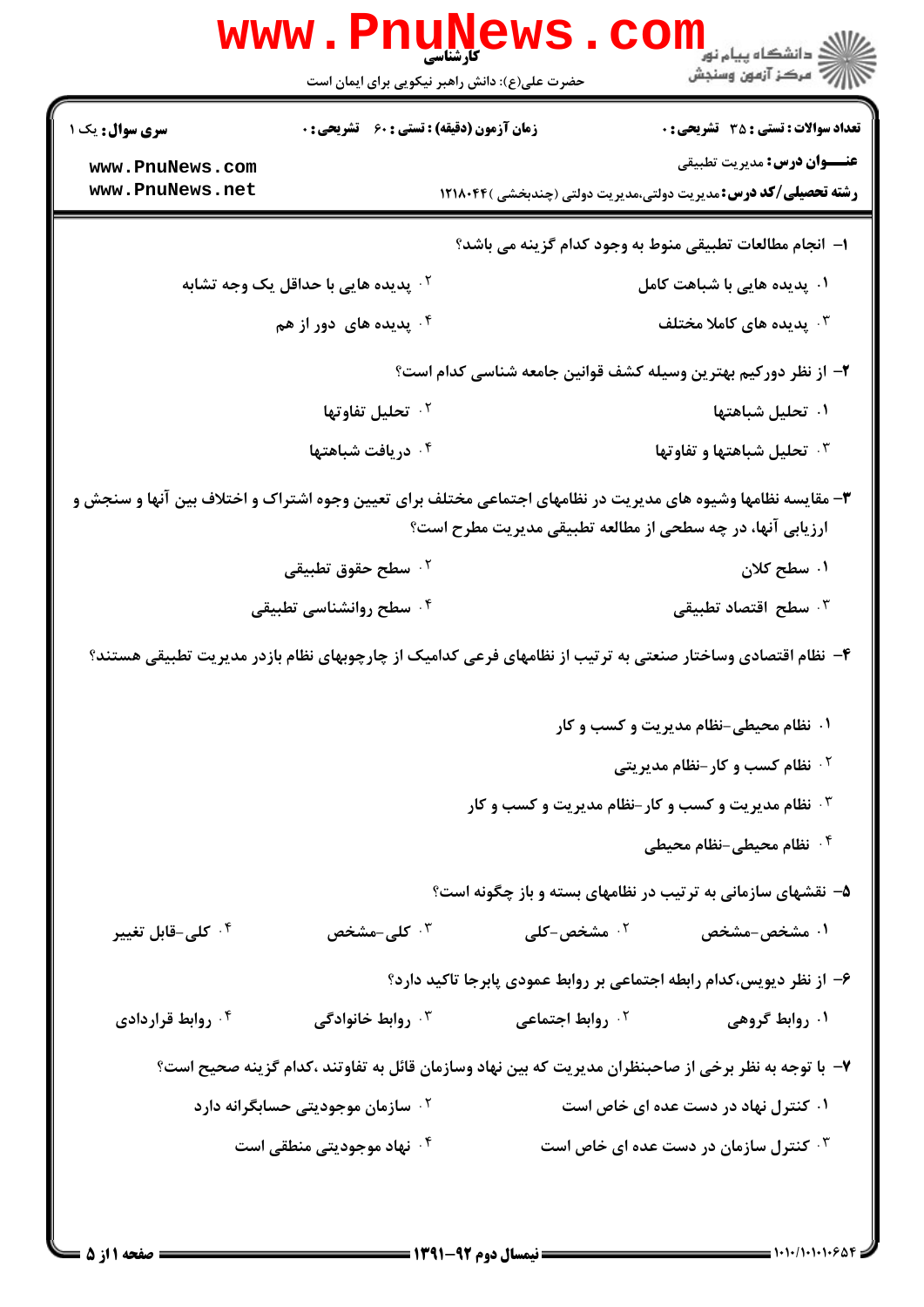|                                                                                                                                                                            | <b>WWW.PNUNEWS</b><br>کارشناسی<br>حضرت علی(ع): دانش راهبر نیکویی برای ایمان است |                              | ڪ دانشڪاه پيا <sub>م</sub> نور<br><mark>√</mark> مرڪز آزمون وسنڊش                                            |
|----------------------------------------------------------------------------------------------------------------------------------------------------------------------------|---------------------------------------------------------------------------------|------------------------------|--------------------------------------------------------------------------------------------------------------|
| <b>سری سوال :</b> یک ۱                                                                                                                                                     | <b>زمان آزمون (دقیقه) : تستی : 60 ٪ تشریحی : 0</b>                              |                              | <b>تعداد سوالات : تستي : 35 ٪ تشریحي : 0</b>                                                                 |
| www.PnuNews.com<br>www.PnuNews.net                                                                                                                                         |                                                                                 |                              | <b>عنـــوان درس:</b> مديريت تطبيقي<br><b>رشته تحصیلی/کد درس:</b> مدیریت دولتی،مدیریت دولتی (چندبخشی )۱۲۱۸۰۴۴ |
|                                                                                                                                                                            |                                                                                 |                              | ا–  انجام مطالعات تطبيقي منوط به وجود كدام گزينه مي باشد؟                                                    |
|                                                                                                                                                                            | <sup>۲</sup> ۰ پدیده هایی با حداقل یک وجه تشابه                                 |                              | ۰۱ پدیده هایی با شباهت کامل                                                                                  |
|                                                                                                                                                                            | ۰۴ پدیده های دور از هم                                                          |                              | بدیده های کاملا مختلف $\cdot$                                                                                |
| ۲– از نظر دورکیم بهترین وسیله کشف قوانین جامعه شناسی کدام است؟                                                                                                             |                                                                                 |                              |                                                                                                              |
|                                                                                                                                                                            | ۰ <sup>۲</sup> تحلیل تفاوتها                                                    |                              | ۰۱ تحلیل شباهتها                                                                                             |
|                                                                                                                                                                            | ۰ <sup>۴</sup> دریافت شباهتها                                                   |                              | <b>4. تحليل شباهتها و تفاوتها</b>                                                                            |
| ۳- مقایسه نظامها وشیوه های مدیریت در نظامهای اجتماعی مختلف برای تعیین وجوه اشتراک و اختلاف بین آنها و سنجش و<br>ارزیابی آنها، در چه سطحی از مطالعه تطبیقی مدیریت مطرح است؟ |                                                                                 |                              |                                                                                                              |
|                                                                                                                                                                            | ۰۲ سطح حقوق تطبیقی                                                              |                              | ۰۱ سطح کلان                                                                                                  |
|                                                                                                                                                                            | ۰۴ سطح روانشناسی تطبیقی                                                         |                              | شطح اقتصاد تطبيقى $\cdot$                                                                                    |
| ۴– نظام اقتصادی وساختار صنعتی به ترتیب از نظامهای فرعی کدامیک از چارچوبهای نظام بازدر مدیریت تطبیقی هستند؟                                                                 |                                                                                 |                              |                                                                                                              |
|                                                                                                                                                                            |                                                                                 |                              | ۰۱ نظام محیطی-نظام مدیریت و کسب و کار                                                                        |
|                                                                                                                                                                            |                                                                                 |                              | <b>گ نظام کسب و کار-نظام مدیریتی</b>                                                                         |
|                                                                                                                                                                            |                                                                                 |                              | <b>4 . نظام مدیریت و کسب و کار-نظام مدیریت و کسب و کار</b>                                                   |
|                                                                                                                                                                            |                                                                                 |                              | ۰۴ نظام محیطی-نظام محیطی                                                                                     |
|                                                                                                                                                                            |                                                                                 |                              | ۵- نقشهای سازمانی به ترتیب در نظامهای بسته و باز چگونه است؟                                                  |
| ۰۴ کلی-قابل تغییر                                                                                                                                                          | ۰ <sup>۳</sup> کلی-مشخص                                                         | ۰ <sup>۲</sup> مشخص-کلی      | ۰۱ مشخص-مشخص                                                                                                 |
|                                                                                                                                                                            |                                                                                 |                              | ۶– از نظر دیویس،کدام رابطه اجتماعی بر روابط عمودی پابرجا تاکید دارد؟                                         |
| ۰۴ روابط قراردادی                                                                                                                                                          | روابط خانوادگی $\cdot^{\mathsf{y}}$                                             | ۰ <sup>۲</sup> روابط اجتماعی | ۰۱ روابط گروهی                                                                                               |
|                                                                                                                                                                            |                                                                                 |                              | ۷– با توجه به نظر برخی از صاحبنظران مدیریت که بین نهاد وسازمان قائل به تفاوتند ،کدام گزینه صحیح است؟         |
|                                                                                                                                                                            | <sup>۲ .</sup> سازمان موجودیتی حسابگرانه دارد                                   |                              | ۰۱ کنترل نهاد در دست عده ای خاص است                                                                          |
|                                                                                                                                                                            | ۰ <sup>۴</sup> نهاد موجودیتی منطقی است                                          |                              | ۰۳ کنترل سازمان در دست عده ای خاص است $\cdot$                                                                |
|                                                                                                                                                                            |                                                                                 |                              |                                                                                                              |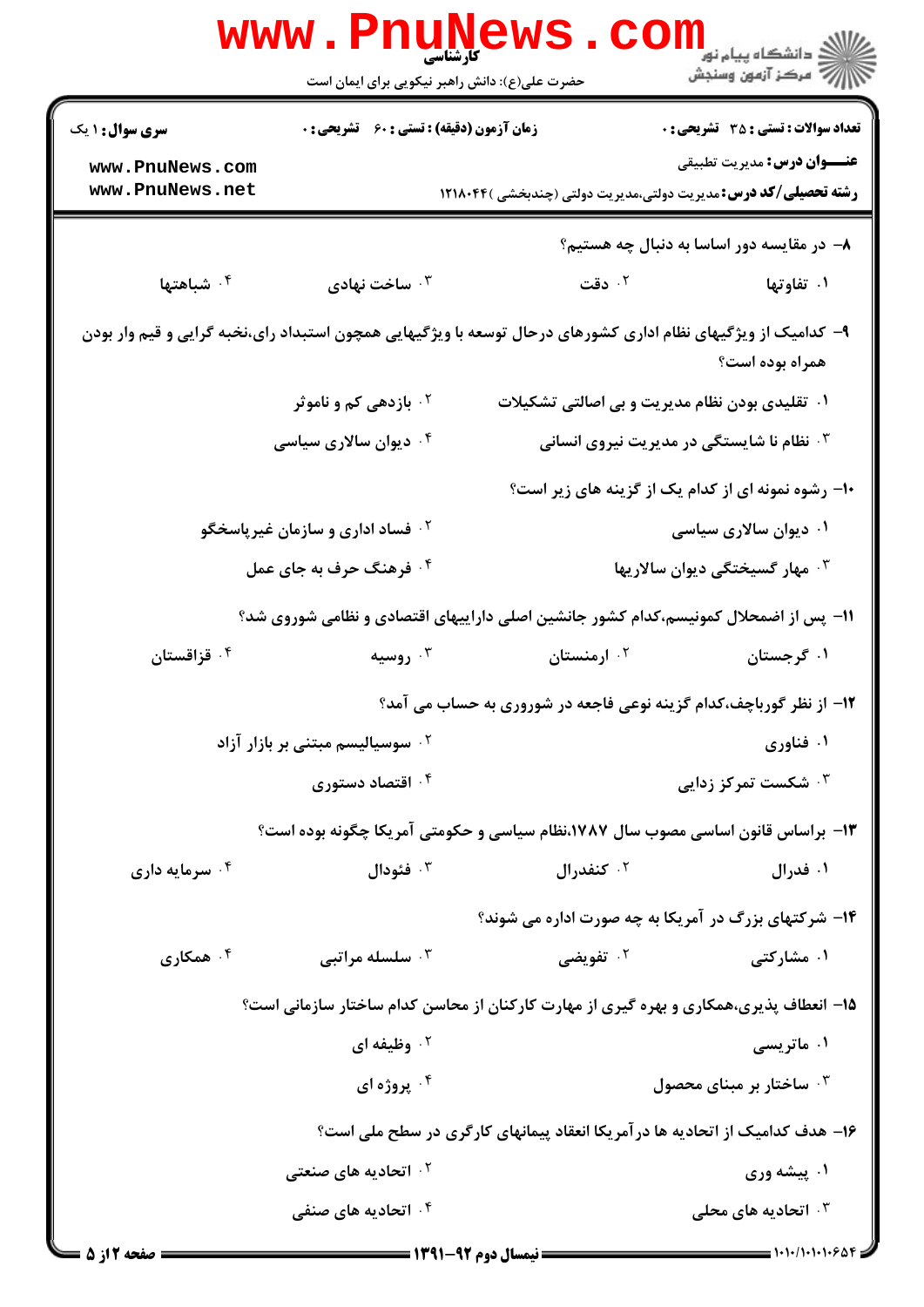|                                                                                                                                  | <b>www.PnuNews</b>                                 | <b>۔ کارشناسی</b><br>حضرت علی(ع): دانش راهبر نیکویی برای ایمان است | ر دانشگاه پيام نور <mark>−</mark><br>ار <i>آهر کرد آزمون وسنج</i> ش                                          |
|----------------------------------------------------------------------------------------------------------------------------------|----------------------------------------------------|--------------------------------------------------------------------|--------------------------------------------------------------------------------------------------------------|
| <b>سری سوال : ۱ یک</b>                                                                                                           | <b>زمان آزمون (دقیقه) : تستی : 60 ٪ تشریحی : 0</b> |                                                                    | <b>تعداد سوالات : تستی : 35 گشریحی : 0</b>                                                                   |
| www.PnuNews.com<br>www.PnuNews.net                                                                                               |                                                    |                                                                    | <b>عنـــوان درس:</b> مديريت تطبيقي<br><b>رشته تحصیلی/کد درس:</b> مدیریت دولتی،مدیریت دولتی (چندبخشی )۱۲۱۸۰۴۴ |
|                                                                                                                                  |                                                    |                                                                    | ۸– در مقایسه دور اساسا به دنبال چه هستیم؟                                                                    |
| ۰ <sup>۴</sup> شباهتها                                                                                                           | ۰۳ ساخت نهادی                                      | ۰۲ دقت                                                             | ۰۱ تفاوتها                                                                                                   |
| ۹- کدامیک از ویژگیهای نظام اداری کشورهای درحال توسعه با ویژگیهایی همچون استبداد رای،نخبه گرایی و قیم وار بودن<br>همراه بوده است؟ |                                                    |                                                                    |                                                                                                              |
|                                                                                                                                  | <sup>۲</sup> ۰ بازدهی کم و ناموثر                  |                                                                    | ۰۱ تقلیدی بودن نظام مدیریت و بی اصالتی تشکیلات                                                               |
|                                                                                                                                  | ۰ <sup>۴</sup> دیوان سالاری سیاسی                  |                                                                    | <b>۰۳ نظام نا شایستگی در مدیریت نیروی انسانی</b>                                                             |
|                                                                                                                                  |                                                    |                                                                    | <b>۱۰</b> رشوه نمونه ای از کدام یک از گزینه های زیر است؟                                                     |
|                                                                                                                                  | <sup>۲ .</sup> فساد اداری و سازمان غیرپاسخگو       |                                                                    | ۰۱ دیوان سالاری سیاسی                                                                                        |
|                                                                                                                                  | ۰۴ فرهنگ حرف به جای عمل                            |                                                                    | ۰۳ مهار گسیختگی دیوان سالاریها                                                                               |
|                                                                                                                                  |                                                    |                                                                    | 11- پس از اضمحلال کمونیسم،کدام کشور جانشین اصلی داراییهای اقتصادی و نظامی شوروی شد؟                          |
| ۰۴ قزاقستان                                                                                                                      | روسیه $\cdot^{\mathsf{r}}$                         | ۰ <sup>۲</sup> ارمنستان                                            | ۰۱ گرجستان                                                                                                   |
|                                                                                                                                  |                                                    |                                                                    | ۱۲- از نظر گورباچف،کدام گزینه نوعی فاجعه در شوروری به حساب می آمد؟                                           |
|                                                                                                                                  | <sup>۲</sup> ۰ سوسیالیسم مبتنی بر بازار آزاد       |                                                                    | ۰۱ فناوري                                                                                                    |
|                                                                                                                                  | ۰۴ اقتصاد دستوری                                   |                                                                    | ۰ <sup>۳</sup> شکست تمرکز زدایی                                                                              |
|                                                                                                                                  |                                                    |                                                                    | ۱۳– براساس قانون اساسی مصوب سال ۱۷۸۷،نظام سیاسی و حکومتی آمریکا چگونه بوده است؟                              |
| ۰ <sup>۴</sup> سرمایه داری                                                                                                       | فئودال $\cdot$                                     | کنفدرال $\cdot$ ۲                                                  | ۰۱ فدرال                                                                                                     |
|                                                                                                                                  |                                                    |                                                                    | <b>۱۴</b> - شرکتهای بزرگ در آمریکا به چه صورت اداره می شوند؟                                                 |
| همکاری $\cdot$ ۴                                                                                                                 | سلسله مراتبي $\cdot^{\mathsf{v}}$                  | ۰ <sup>۲</sup> تفویضی                                              | ۰۱ مشارکت <i>ی</i>                                                                                           |
|                                                                                                                                  |                                                    |                                                                    | ۱۵– انعطاف پذیری،همکاری و بهره گیری از مهارت کارکنان از محاسن کدام ساختار سازمانی است؟                       |
|                                                                                                                                  | ۰۲ وظیفه ای                                        |                                                                    | ۰۱ ماتریسی                                                                                                   |
|                                                                                                                                  | ۰۴ پروژه ای                                        |                                                                    | ۰۳ ساختار بر مبنای محصول                                                                                     |
|                                                                                                                                  |                                                    |                                                                    | ۱۶- هدف کدامیک از اتحادیه ها در آمریکا انعقاد پیمانهای کارگری در سطح ملی است؟                                |
|                                                                                                                                  | ۰ <sup>۲</sup> اتحادیه های صنعتی                   |                                                                    | ۰۱ پیشه وری                                                                                                  |
|                                                                                                                                  | ۰ <sup>۴</sup> اتحادیه های صنفی                    |                                                                    | ا تحادیه های محلی $\cdot^{\mathsf{\mathtt{v}}}$                                                              |
| = صفحه 12: 5 =                                                                                                                   |                                                    | ــــــــــ نيمسال ده م 92-1391 ـــــــــــ                         |                                                                                                              |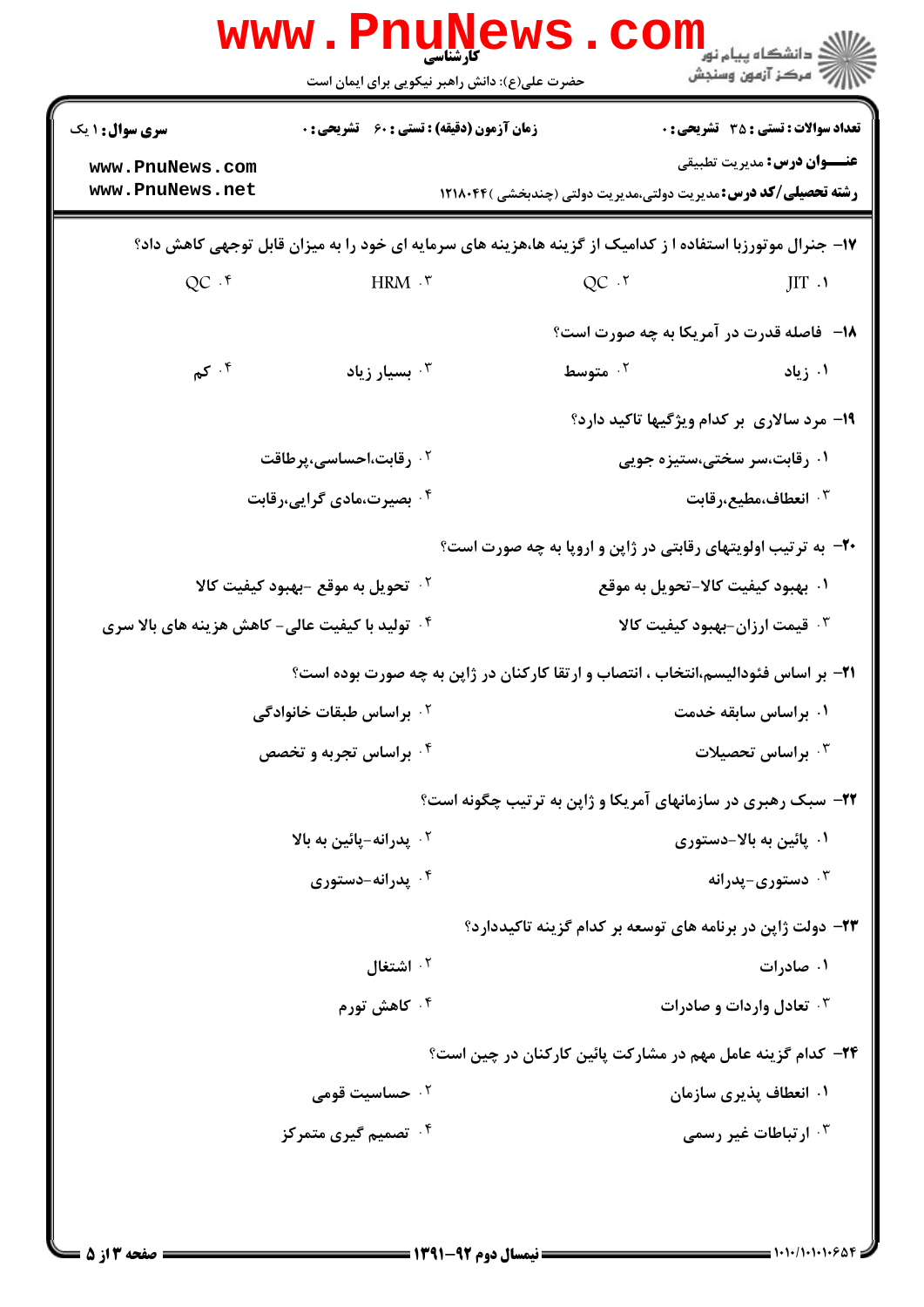|                                                                                                            |                                                             | <b>WWW. PNUNEWS. COILL</b>                                                         |  |
|------------------------------------------------------------------------------------------------------------|-------------------------------------------------------------|------------------------------------------------------------------------------------|--|
| <b>سری سوال :</b> ۱ یک                                                                                     | <b>زمان آزمون (دقیقه) : تستی : 60 ٪ تشریحی : 0</b>          | <b>تعداد سوالات : تستی : 35 - تشریحی : 0</b>                                       |  |
| www.PnuNews.com                                                                                            |                                                             | <b>عنـــوان درس:</b> مديريت تطبيقي                                                 |  |
| www.PnuNews.net                                                                                            |                                                             | <b>رشته تحصیلی/کد درس:</b> مدیریت دولتی،مدیریت دولتی (چندبخشی )۱۲۱۸۰۴۴             |  |
| ۱۷- جنرال موتورزبا استفاده ا ز کدامیک از گزینه ها،هزینه های سرمایه ای خود را به میزان قابل توجهی کاهش داد؟ |                                                             |                                                                                    |  |
| $QC \cdot$                                                                                                 | HRM .r                                                      | $QC$ $.7$<br>JIT.                                                                  |  |
|                                                                                                            |                                                             | <b>۱۸</b> - فاصله قدرت در آمریکا به چه صورت است؟                                   |  |
| ۰۴ کم $\mathcal{S}$                                                                                        | بسيار زياد $\cdot^{\intercal}$                              | ۰ <sup>۲</sup> متوسط<br>۰۱ زیاد                                                    |  |
|                                                                                                            |                                                             | ۱۹- مرد سالاری بر کدام ویژگیها تاکید دارد؟                                         |  |
|                                                                                                            | ۰ <sup>۲</sup> رقابت،احساسی،پرطاقت                          | ۰۱ رقابت،سر سختی،ستیزه جویی                                                        |  |
|                                                                                                            | ۰۴ بصیرت،مادی گرایی،رقابت                                   | انعطاف،مطيع،رقابت $\cdot$                                                          |  |
|                                                                                                            |                                                             | <b>۲۰</b> - به ترتیب اولویتهای رقابتی در ژاپن و اروپا به چه صورت است؟              |  |
|                                                                                                            | ۰ <sup>۲</sup> تحویل به موقع -بهبود کیفیت کالا              | ۰۱ بهبود کیفیت کالا-تحویل به موقع                                                  |  |
| <b>گ تولید با کیفیت عالی- کاهش هزینه های بالا سری</b>                                                      |                                                             | ۰۳ قیمت ارزان-بهبود کیفیت کالا                                                     |  |
|                                                                                                            |                                                             | ۲۱– بر اساس فئودالیسم،انتخاب ، انتصاب و ارتقا کارکنان در ژاپن به چه صورت بوده است؟ |  |
|                                                                                                            | <b>10 براساس طبقات خانوادگی</b>                             | ۰۱ براساس سابقه خدمت                                                               |  |
|                                                                                                            | ۰۴ براساس تجربه و تخصص                                      | براساس تحصیلات $\cdot^{\mathsf{\texttt{w}}}$                                       |  |
|                                                                                                            |                                                             | <b>۲۲-</b> سبک رهبری در سازمانهای آمریکا و ژاپن به ترتیب چگونه است؟                |  |
|                                                                                                            | ۰۲ پدرانه-پائين به بالا                                     | ۰۱ پائین به بالا-دستوری                                                            |  |
|                                                                                                            | ۰۴ پدرانه-دستوری                                            | دستوری-پدرانه $\cdot^{\texttt{w}}$                                                 |  |
|                                                                                                            |                                                             | ۲۳– دولت ژاپن در برنامه های توسعه بر کدام گزینه تاکیددارد؟                         |  |
|                                                                                                            | ۰ <sup>۲</sup> اشتغال                                       | ۰۱ صادرات                                                                          |  |
|                                                                                                            | ۰۴ کاهش تورم                                                | <b>4. تعادل واردات و صادرات</b>                                                    |  |
|                                                                                                            | ۲۴- کدام گزینه عامل مهم در مشارکت پائین کارکنان در چین است؟ |                                                                                    |  |
|                                                                                                            | ۰۲ حساسیت قومی                                              | ۰۱ انعطاف پذیری سازمان                                                             |  |
|                                                                                                            | ۰۴ تصمیم گیری متمرکز                                        | ۰۳ ارتباطات غیر رسمی                                                               |  |
|                                                                                                            |                                                             |                                                                                    |  |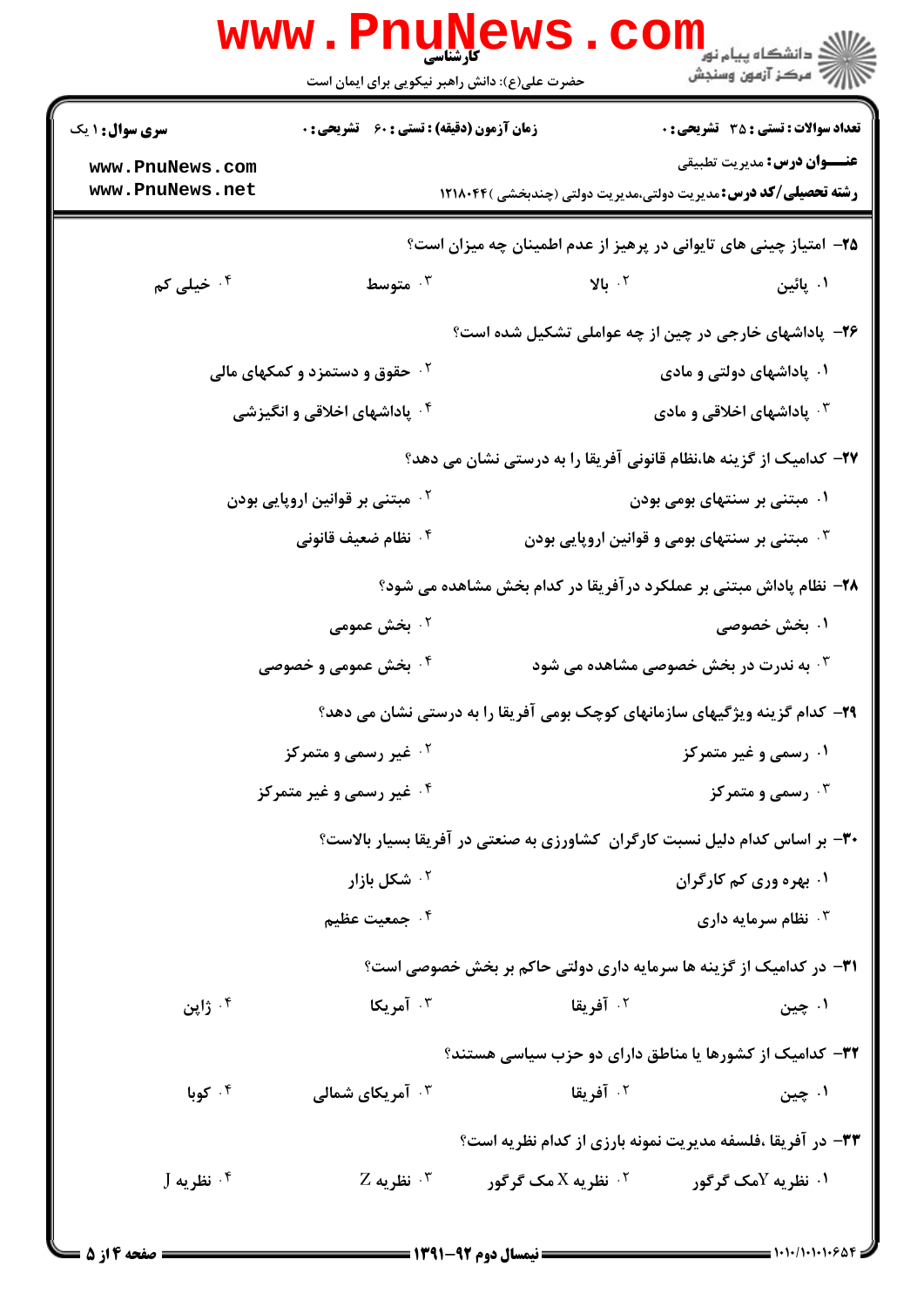|                                                                                                                                                                                                                                                                                                                                                                                                        | <b>www.PnuNews</b><br>حضرت علی(ع): دانش راهبر نیکویی برای ایمان است |                                                                             | ر دانشگاه پيام نور <mark>−</mark><br>ار <i>آهر کر</i> آزمون وسنجش |
|--------------------------------------------------------------------------------------------------------------------------------------------------------------------------------------------------------------------------------------------------------------------------------------------------------------------------------------------------------------------------------------------------------|---------------------------------------------------------------------|-----------------------------------------------------------------------------|-------------------------------------------------------------------|
| <b>سری سوال : ۱ یک</b>                                                                                                                                                                                                                                                                                                                                                                                 | <b>زمان آزمون (دقیقه) : تستی : 60 ٪ تشریحی : 0</b>                  | <b>تعداد سوالات : تستی : 35 - تشریحی : 0</b>                                |                                                                   |
| www.PnuNews.com<br>www.PnuNews.net                                                                                                                                                                                                                                                                                                                                                                     |                                                                     | <b>رشته تحصیلی/کد درس:</b> مدیریت دولتی،مدیریت دولتی (چندبخشی )۱۲۱۸۰۴۴      | <b>عنـــوان درس:</b> مديريت تطبيقي                                |
|                                                                                                                                                                                                                                                                                                                                                                                                        |                                                                     |                                                                             |                                                                   |
|                                                                                                                                                                                                                                                                                                                                                                                                        |                                                                     | ۲۵– امتیاز چینی های تایوانی در پرهیز از عدم اطمینان چه میزان است؟           |                                                                   |
| ۰۴ خیلی کم                                                                                                                                                                                                                                                                                                                                                                                             | ۰۳ متوسط                                                            | ۰۲ بالا                                                                     | ۰۱ پائین                                                          |
|                                                                                                                                                                                                                                                                                                                                                                                                        |                                                                     | ۲۶- پاداشهای خارجی در چین از چه عواملی تشکیل شده است؟                       |                                                                   |
| <b>گ حقوق و دستمزد و کمکهای مالی</b>                                                                                                                                                                                                                                                                                                                                                                   |                                                                     | ۰۱ پاداشهای دولتی و مادی                                                    |                                                                   |
| ۰۴ پاداشهای اخلاقی و انگیزشی                                                                                                                                                                                                                                                                                                                                                                           |                                                                     | ۰۳ پاداشهای اخلاقی و مادی                                                   |                                                                   |
|                                                                                                                                                                                                                                                                                                                                                                                                        |                                                                     | ۲۷– کدامیک از گزینه ها،نظام قانونی آفریقا را به درستی نشان می دهد؟          |                                                                   |
| ۰ <sup>۲</sup> مبتنی بر قوانین اروپایی بودن                                                                                                                                                                                                                                                                                                                                                            |                                                                     | ۰۱ مبتنی بر سنتهای بومی بودن                                                |                                                                   |
|                                                                                                                                                                                                                                                                                                                                                                                                        | ۰۴ نظام ضعیف قانونی                                                 | ه مبتنی بر سنتهای بومی و قوانین اروپایی بودن $\cdot^{\textsf{\tiny{T}}}$    |                                                                   |
|                                                                                                                                                                                                                                                                                                                                                                                                        |                                                                     | ۲۸- نظام پاداش مبتنی بر عملکرد درآفریقا در کدام بخش مشاهده می شود؟          |                                                                   |
|                                                                                                                                                                                                                                                                                                                                                                                                        | ۰۲ بخش عمومی                                                        |                                                                             | ۰۱ بخش خصوصی                                                      |
|                                                                                                                                                                                                                                                                                                                                                                                                        | ۰ <sup>۴</sup> بخش عمومی و خصوصی                                    | به ندرت در بخش خصوصی مشاهده می شود $\cdot^{\texttt{w}}$                     |                                                                   |
|                                                                                                                                                                                                                                                                                                                                                                                                        |                                                                     | ۲۹- کدام گزینه ویژگیهای سازمانهای کوچک بومی آفریقا را به درستی نشان می دهد؟ |                                                                   |
|                                                                                                                                                                                                                                                                                                                                                                                                        | <sup>۰۲</sup> غیر رسمی و متمرکز                                     | ۰۱ رسمی و غیر متمرکز                                                        |                                                                   |
| ۰۴ غیر رسمی و غیر متمرکز                                                                                                                                                                                                                                                                                                                                                                               |                                                                     | رسمی و متمرکز $\cdot^{\mathsf{v}}$                                          |                                                                   |
|                                                                                                                                                                                                                                                                                                                                                                                                        |                                                                     | ۳۰- بر اساس کدام دلیل نسبت کارگران کشاورزی به صنعتی در آفریقا بسیار بالاست؟ |                                                                   |
|                                                                                                                                                                                                                                                                                                                                                                                                        | ۰ <sup>۲</sup> شکل بازار                                            | ۰۱ بهره وری کم کارگران                                                      |                                                                   |
|                                                                                                                                                                                                                                                                                                                                                                                                        | ۰ <sup>۴</sup> جمعیت عظیم                                           | نظام سرمایه داری $\cdot^{\mathtt{w}}$                                       |                                                                   |
|                                                                                                                                                                                                                                                                                                                                                                                                        |                                                                     | <b>۳۱</b> - در کدامیک از گزینه ها سرمایه داری دولتی حاکم بر بخش خصوصی است؟  |                                                                   |
| ۰۴ ژاپن                                                                                                                                                                                                                                                                                                                                                                                                | ۰ <sup>۳</sup> آمریکا                                               | ۰ <sup>۲</sup> آفریقا                                                       | ۰۱ چين                                                            |
|                                                                                                                                                                                                                                                                                                                                                                                                        |                                                                     | ۳۲- کدامیک از کشورها یا مناطق دارای دو حزب سیاسی هستند؟                     |                                                                   |
| ۰۴ کوبا                                                                                                                                                                                                                                                                                                                                                                                                | <b>4 . آمریکای شمالی</b>                                            | ۰۲ آفریقا                                                                   | ۰۱ چين                                                            |
|                                                                                                                                                                                                                                                                                                                                                                                                        |                                                                     | ۳۳- در آفریقا ،فلسفه مدیریت نمونه بارزی از کدام نظریه است؟                  |                                                                   |
| $J$ نظریه $\cdot$ $^{\circ}$                                                                                                                                                                                                                                                                                                                                                                           |                                                                     | $Z$ نظریه X مک گرگور سیست تظریه $Y$<br>۰۱ نظریه لامک گرگور $\cdot$          |                                                                   |
|                                                                                                                                                                                                                                                                                                                                                                                                        |                                                                     |                                                                             |                                                                   |
| $\blacktriangleright$ 14 × 16 × $\blacktriangleright$ 14 × 2.6 × 2.0 × 2.0 × 2.0 × 2.0 × 2.0 × 2.0 × 2.0 × 2.0 × 2.0 × 2.0 × 2.0 × 2.0 $\blacktriangleright$ 2.0 $\blacktriangleright$ 2.1 $\blacktriangleright$ 2.1 $\blacktriangleright$ 2.1 $\blacktriangleright$ 2.1 $\blacktriangleright$ 2.1 $\blacktriangleright$ 2.1 $\blacktriangleright$ 2.1 $\blacktriangleright$ 2.1 $\blacktriangleright$ |                                                                     | <b>ــــــــــ ن</b> رمسال دوم ۹۲-۱۳۹۱ <del>- - </del>                       |                                                                   |